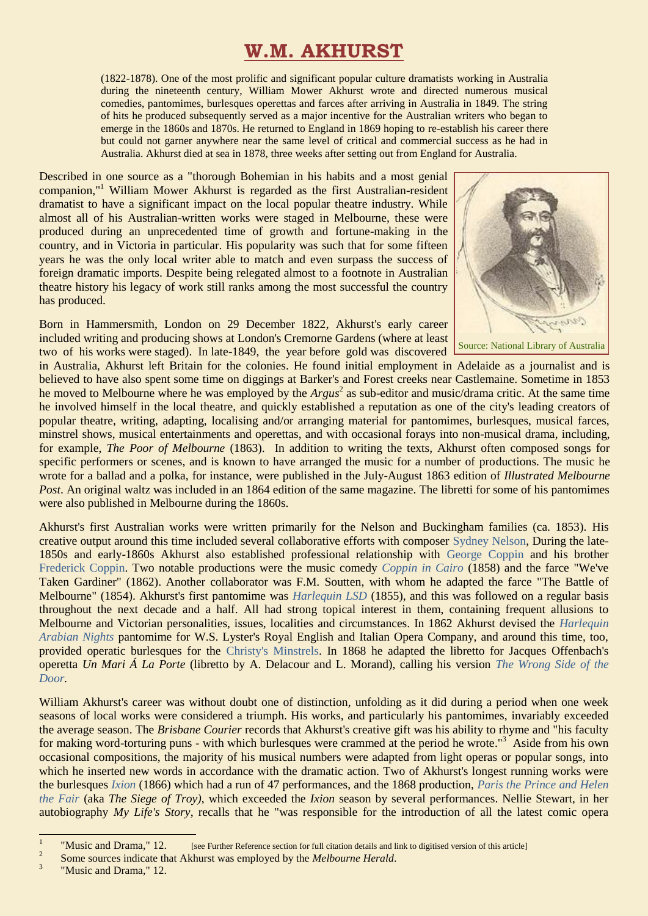## **W.M. AKHURST**

(1822-1878). One of the most prolific and significant popular culture dramatists working in Australia during the nineteenth century, William Mower Akhurst wrote and directed numerous musical comedies, pantomimes, burlesques operettas and farces after arriving in Australia in 1849. The string of hits he produced subsequently served as a major incentive for the Australian writers who began to emerge in the 1860s and 1870s. He returned to England in 1869 hoping to re-establish his career there but could not garner anywhere near the same level of critical and commercial success as he had in Australia. Akhurst died at sea in 1878, three weeks after setting out from England for Australia.

Described in one source as a "thorough Bohemian in his habits and a most genial companion," <sup>1</sup> William Mower Akhurst is regarded as the first Australian-resident dramatist to have a significant impact on the local popular theatre industry. While almost all of his Australian-written works were staged in Melbourne, these were produced during an unprecedented time of growth and fortune-making in the country, and in Victoria in particular. His popularity was such that for some fifteen years he was the only local writer able to match and even surpass the success of foreign dramatic imports. Despite being relegated almost to a footnote in Australian theatre history his legacy of work still ranks among the most successful the country has produced.

Born in Hammersmith, London on 29 December 1822, Akhurst's early career included writing and producing shows at London's Cremorne Gardens (where at least two of his works were staged). In late-1849, the year before gold was discovered



in Australia, Akhurst left Britain for the colonies. He found initial employment in Adelaide as a journalist and is believed to have also spent some time on diggings at Barker's and Forest creeks near Castlemaine. Sometime in 1853 he moved to Melbourne where he was employed by the *Argus*<sup>2</sup> as sub-editor and music/drama critic. At the same time he involved himself in the local theatre, and quickly established a reputation as one of the city's leading creators of popular theatre, writing, adapting, localising and/or arranging material for pantomimes, burlesques, musical farces, minstrel shows, musical entertainments and operettas, and with occasional forays into non-musical drama, including, for example, *The Poor of Melbourne* (1863). In addition to writing the texts, Akhurst often composed songs for specific performers or scenes, and is known to have arranged the music for a number of productions. The music he wrote for a ballad and a polka, for instance, were published in the July-August 1863 edition of *Illustrated Melbourne Post*. An original waltz was included in an 1864 edition of the same magazine. The libretti for some of his pantomimes were also published in Melbourne during the 1860s.

Akhurst's first Australian works were written primarily for the Nelson and Buckingham families (ca. 1853). His creative output around this time included several collaborative efforts with composer [Sydney Nelson,](https://ozvta.com/practitioners-n/) During the late-1850s and early-1860s Akhurst also established professional relationship with [George Coppin](https://ozvta.com/entrepreneurs-a-f/) and his brother [Frederick Coppin.](https://ozvta.com/music-directors-composers-other/) Two notable productions were the music comedy *[Coppin in Cairo](https://ozvta.com/1850s/)* (1858) and the farce "We've Taken Gardiner" (1862). Another collaborator was F.M. Soutten, with whom he adapted the farce "The Battle of Melbourne" (1854). Akhurst's first pantomime was *[Harlequin LSD](https://ozvta.com/1850s/)* (1855), and this was followed on a regular basis throughout the next decade and a half. All had strong topical interest in them, containing frequent allusions to Melbourne and Victorian personalities, issues, localities and circumstances. In 1862 Akhurst devised the *[Harlequin](https://ozvta.com/1860s/)  [Arabian Nights](https://ozvta.com/1860s/)* pantomime for W.S. Lyster's Royal English and Italian Opera Company, and around this time, too, provided operatic burlesques for the [Christy's Minstrels.](https://ozvta.com/troupes-a-f/) In 1868 he adapted the libretto for Jacques Offenbach's operetta *Un Mari Á La Porte* (libretto by A. Delacour and L. Morand), calling his version *[The Wrong Side of the](https://ozvta.com/1860s/)  [Door.](https://ozvta.com/1860s/)*

William Akhurst's career was without doubt one of distinction, unfolding as it did during a period when one week seasons of local works were considered a triumph. His works, and particularly his pantomimes, invariably exceeded the average season. The *Brisbane Courier* records that Akhurst's creative gift was his ability to rhyme and "his faculty for making word-torturing puns - with which burlesques were crammed at the period he wrote."<sup>3</sup> Aside from his own occasional compositions, the majority of his musical numbers were adapted from light operas or popular songs, into which he inserted new words in accordance with the dramatic action. Two of Akhurst's longest running works were the burlesques *[Ixion](https://ozvta.com/1860s/)* (1866) which had a run of 47 performances, and the 1868 production, *[Paris the Prince and Helen](https://ozvta.com/1860s/)  [the Fair](https://ozvta.com/1860s/)* (aka *The Siege of Troy)*, which exceeded the *Ixion* season by several performances. Nellie Stewart, in her autobiography *My Life's Story*, recalls that he "was responsible for the introduction of all the latest comic opera

 $\frac{1}{1}$ "Music and Drama," 12. [see Further Reference section for full citation details and link to digitised version of this article]  $\overline{2}$ 

Some sources indicate that Akhurst was employed by the *Melbourne Herald*.

<sup>3</sup> "Music and Drama," 12.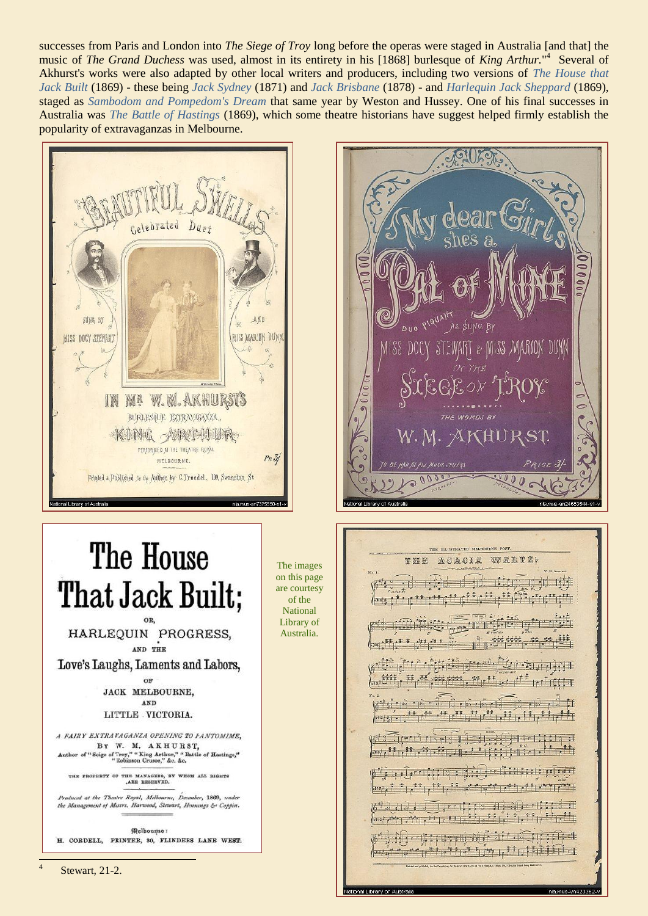successes from Paris and London into The Siege of Troy long before the operas were staged in Australia [and that] the music of The Grand Duchess was used, almost in its entirety in his [1868] burlesque of King Arthur."<sup>4</sup> Several of Akhurst's works were also adapted by other local writers and producers, including two versions of The House that Jack Built (1869) - these being Jack Sydney (1871) and Jack Brisbane (1878) - and Harlequin Jack Sheppard (1869), staged as Sambodom and Pompedom's Dream that same year by Weston and Hussey. One of his final successes in Australia was *The Battle of Hastings* (1869), which some theatre historians have suggest helped firmly establish the popularity of extravaganzas in Melbourne.

> The images on this page

are courtesy of the **National** Library of

Australia.



# The House That Jack Built; HARLEQUIN PROGRESS,

AND THE

Love's Laughs, Laments and Labors.

 $O<sub>F</sub>$ **JACK MELBOURNE,** AND LITTLE VICTORIA.

A FAIRY EXTRAVAGANZA OPENING TO FANTOMIME, BY W. M. AKHURST. Seige of Troy," " King Arthur," " Battle of Hastings,"<br>" Robinson Crusoe," &c. &c.

THE PROPERTY OF THE MANAGERS, BY WHOM ALL RIGHTS

inced at the Theatre Royal, Melbourne, December, 1869, under the Management of Messrs. Harwood, Stewart, Hennings & Coppin.

**Melbourne:** H. CORDELL, PRINTER, 30, FLINDERS LANE WEST. DUO PIQUAN AS SUNG BY MISS M  $200$ 

#### THE HAISTRATED MELBOURNE POST ACACIA WALTZ: 车铁的

 $\left| \cdot \right|$  $22,11$  $\rho_{\text{max}} = 11.11^{-11}$  $\mathbf{H}_1^{\text{H}}$  ,  $\mathbf{H}_2^{\text{H}}$  ,  $\mathbf{H}_3^{\text{H}}$  ,  $\mathbf{H}_4^{\text{H}}$  ,  $\mathbf{H}_5^{\text{H}}$ Trunners light for the a اللوا فملوح وأنوائ في في فلو والمؤون في الموافقة ونود  $\left\| \frac{1}{2} \left( \frac{1}{2} \right)^{\frac{1}{2}} + \frac{1}{2} \left( \frac{1}{2} \right)^{\frac{1}{2}} + \frac{1}{2} \left( \frac{1}{2} \right)^{\frac{1}{2}} + \frac{1}{2} \left( \frac{1}{2} \right)^{\frac{1}{2}} + \frac{1}{2} \left( \frac{1}{2} \right)^{\frac{1}{2}} + \frac{1}{2} \left( \frac{1}{2} \right)^{\frac{1}{2}} + \frac{1}{2} \left( \frac{1}{2} \right)^{\frac{1}{2}} + \frac{1}{2} \left( \frac{1}{2} \right)^$  $\sqrt{3}$  and  $\sqrt{3}$  and  $\sqrt{3}$  and  $\sqrt{3}$  and  $\sqrt{3}$  and  $\sqrt{3}$  and  $\sqrt{3}$  and  $\sqrt{3}$  and  $\sqrt{3}$  and  $\sqrt{3}$  and  $\sqrt{3}$  and  $\sqrt{3}$  and  $\sqrt{3}$  and  $\sqrt{3}$  and  $\sqrt{3}$  and  $\sqrt{3}$  and  $\sqrt{3}$  and  $\sqrt{3}$  and  $\sqrt{3$ بَالْبَيْرِانْشْ وَالْقَرْبَةَ فَيَرْتَشْ وَالْقَرْبَةَ فَالْقَرْبَةِ وَالْمُرْسَوْنَ وَالْمُرْ المليل فلوقوا والمنافس والمنافي والمنامون

al Library of Australi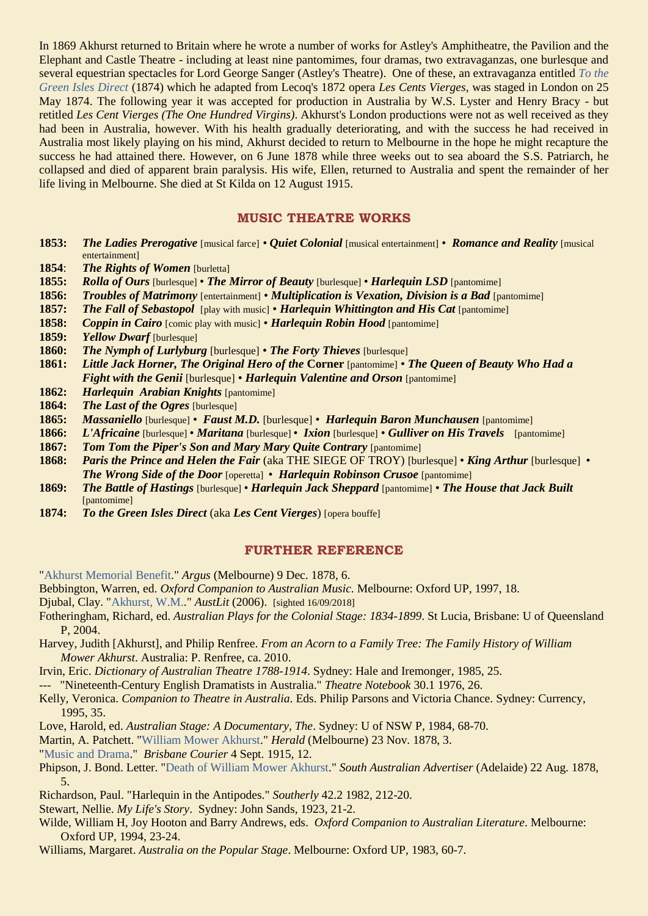In 1869 Akhurst returned to Britain where he wrote a number of works for Astley's Amphitheatre, the Pavilion and the Elephant and Castle Theatre - including at least nine pantomimes, four dramas, two extravaganzas, one burlesque and several equestrian spectacles for Lord George Sanger (Astley's Theatre). One of these, an extravaganza entitled *[To the](https://ozvta.com/1870s/)  [Green Isles Direct](https://ozvta.com/1870s/)* (1874) which he adapted from Lecoq's 1872 opera *Les Cents Vierges*, was staged in London on 25 May 1874. The following year it was accepted for production in Australia by W.S. Lyster and Henry Bracy - but retitled *Les Cent Vierges (The One Hundred Virgins)*. Akhurst's London productions were not as well received as they had been in Australia, however. With his health gradually deteriorating, and with the success he had received in Australia most likely playing on his mind, Akhurst decided to return to Melbourne in the hope he might recapture the success he had attained there. However, on 6 June 1878 while three weeks out to sea aboard the S.S. Patriarch, he collapsed and died of apparent brain paralysis. His wife, Ellen, returned to Australia and spent the remainder of her life living in Melbourne. She died at St Kilda on 12 August 1915.

### **MUSIC THEATRE WORKS**

- **1853:** *The Ladies Prerogative* [musical farce]  *Quiet Colonial* [musical entertainment] *Romance and Reality* [musical entertainment]
- **1854**: *The Rights of Women* [burletta]
- **1855:** *Rolla of Ours* [burlesque] *The Mirror of Beauty* [burlesque] *Harlequin LSD* [pantomime]
- **1856:** *Troubles of Matrimony* [entertainment] *Multiplication is Vexation, Division is a Bad* [pantomime]
- **1857:** *The Fall of Sebastopol* [play with music] *Harlequin Whittington and His Cat* [pantomime]
- **1858:** *Coppin in Cairo* [comic play with music] *Harlequin Robin Hood* [pantomime]
- **1859:** *Yellow Dwarf* [burlesque]
- **1860:** *The Nymph of Lurlyburg* [burlesque] *The Forty Thieves* [burlesque]
- **1861:** *Little Jack Horner, The Original Hero of the* **Corner** [pantomime] *The Queen of Beauty Who Had a Fight with the Genii* [burlesque] • *Harlequin Valentine and Orson* [pantomime]
- **1862:** *Harlequin Arabian Knights* [pantomime]
- **1864:** *The Last of the Ogres* [burlesque]
- **1865:** *Massaniello* [burlesque] *Faust M.D.* [burlesque] *Harlequin Baron Munchausen* [pantomime]
- **1866:** *L'Africaine* [burlesque] *Maritana* [burlesque] *Ixion* [burlesque] *Gulliver on His Travels* [pantomime]
- **1867:** *Tom Tom the Piper's Son and Mary Mary Quite Contrary* [pantomime]
- **1868:** *Paris the Prince and Helen the Fair* (aka THE SIEGE OF TROY) [burlesque] *King Arthur* [burlesque] *The Wrong Side of the Door* [operetta] • *Harlequin Robinson Crusoe* [pantomime]
- **1869:** *The Battle of Hastings* [burlesque] *Harlequin Jack Sheppard* [pantomime] *The House that Jack Built* [pantomime]
- **1874:** *To the Green Isles Direct* (aka *Les Cent Vierges*) [opera bouffe]

#### **FURTHER REFERENCE**

["Akhurst Memorial Benefit.](https://trove.nla.gov.au/newspaper/article/5923970)" *Argus* (Melbourne) 9 Dec. 1878, 6.

- Bebbington, Warren, ed. *Oxford Companion to Australian Music*. Melbourne: Oxford UP, 1997, 18.
- Djubal, Clay. ["Akhurst, W.M..](http://www.austlit.edu.au/run?ex=ShowAgent&agentId=A-%28l)" *AustLit* (2006). [sighted 16/09/2018]
- Fotheringham, Richard, ed. *Australian Plays for the Colonial Stage: 1834-1899*. St Lucia, Brisbane: U of Queensland P, 2004.
- Harvey, Judith [Akhurst], and Philip Renfree. *From an Acorn to a Family Tree: The Family History of William Mower Akhurst*. Australia: P. Renfree, ca. 2010.
- Irvin, Eric. *Dictionary of Australian Theatre 1788-1914*. Sydney: Hale and Iremonger, 1985, 25.
- --- "Nineteenth-Century English Dramatists in Australia." *Theatre Notebook* 30.1 1976, 26.
- Kelly, Veronica. *Companion to Theatre in Australia*. Eds. Philip Parsons and Victoria Chance. Sydney: Currency, 1995, 35.
- Love, Harold, ed. *Australian Stage: A Documentary, The*. Sydney: U of NSW P, 1984, 68-70.
- Martin, A. Patchett. ["William Mower Akhurst.](https://trove.nla.gov.au/newspaper/article/246220408)" *Herald* (Melbourne) 23 Nov. 1878, 3.
- ["Music and Drama.](https://trove.nla.gov.au/newspaper/page/1587230)" *Brisbane Courier* 4 Sept. 1915, 12.
- Phipson, J. Bond. Letter. ["Death of William Mower Akhurst.](https://trove.nla.gov.au/newspaper/article/29605792)" *South Australian Advertiser* (Adelaide) 22 Aug. 1878, 5.
- Richardson, Paul. "Harlequin in the Antipodes." *Southerly* 42.2 1982, 212-20.
- Stewart, Nellie. *My Life's Story*. Sydney: John Sands, 1923, 21-2.
- Wilde, William H, Joy Hooton and Barry Andrews, eds. *Oxford Companion to Australian Literature*. Melbourne: Oxford UP, 1994, 23-24.
- Williams, Margaret. *Australia on the Popular Stage*. Melbourne: Oxford UP, 1983, 60-7.